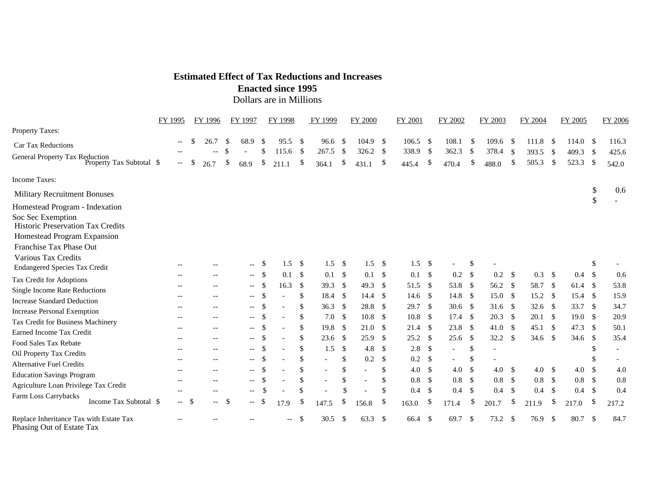## **Estimated Effect of Tax Reductions and Increases**

**Enacted since 1995** 

Dollars are in Millions

|                                                                      | FY 1995                  | FY 1996    |                          | FY 1997                  |               | FY 1998                    |               | FY 1999 |               | <b>FY 2000</b> |                    | <b>FY 2001</b> |                           | FY 2002                  |               | FY 2003                  |               | FY 2004  |      | FY 2005          |               | FY 2006 |
|----------------------------------------------------------------------|--------------------------|------------|--------------------------|--------------------------|---------------|----------------------------|---------------|---------|---------------|----------------|--------------------|----------------|---------------------------|--------------------------|---------------|--------------------------|---------------|----------|------|------------------|---------------|---------|
| Property Taxes:                                                      |                          |            |                          |                          |               |                            |               |         |               |                |                    |                |                           |                          |               |                          |               |          |      |                  |               |         |
| <b>Car Tax Reductions</b>                                            | $-$                      | 26.7<br>\$ |                          | 68.9<br>-S               | <sup>\$</sup> | 95.5                       | -\$           | 96.6    | -\$           | 104.9          | -\$                | 106.5          | - \$                      | 108.1                    | -\$           | 109.6                    | - \$          | 111.8    | - \$ | 114.0            | - \$          | 116.3   |
| General Property Tax Reduction<br>Property Tax Subtotal \$           |                          |            |                          | \$.                      | \$            | 115.6                      | -\$           | 267.5   | \$            | 326.2          | -\$                | 338.9          | -\$                       | 362.3                    | -\$           | 378.4                    | - \$          | 393.5    | - \$ | 409.3            | -\$           | 425.6   |
|                                                                      | $\overline{\phantom{a}}$ | \$<br>26.7 |                          | \$<br>68.9               | \$            | 211.1                      | \$            | 364.1   | \$            | 431.1          | \$                 | 445.4          | \$                        | 470.4                    | \$            | 488.0                    | <sup>\$</sup> | 505.3    | \$   | 523.3            | \$            | 542.0   |
| Income Taxes:                                                        |                          |            |                          |                          |               |                            |               |         |               |                |                    |                |                           |                          |               |                          |               |          |      |                  |               |         |
| <b>Military Recruitment Bonuses</b>                                  |                          |            |                          |                          |               |                            |               |         |               |                |                    |                |                           |                          |               |                          |               |          |      |                  | \$            | 0.6     |
| Homestead Program - Indexation                                       |                          |            |                          |                          |               |                            |               |         |               |                |                    |                |                           |                          |               |                          |               |          |      |                  | \$            |         |
| Soc Sec Exemption                                                    |                          |            |                          |                          |               |                            |               |         |               |                |                    |                |                           |                          |               |                          |               |          |      |                  |               |         |
| Historic Preservation Tax Credits                                    |                          |            |                          |                          |               |                            |               |         |               |                |                    |                |                           |                          |               |                          |               |          |      |                  |               |         |
| Homestead Program Expansion                                          |                          |            |                          |                          |               |                            |               |         |               |                |                    |                |                           |                          |               |                          |               |          |      |                  |               |         |
| Franchise Tax Phase Out                                              |                          |            |                          |                          |               |                            |               |         |               |                |                    |                |                           |                          |               |                          |               |          |      |                  |               |         |
| Various Tax Credits                                                  | $- -$                    |            |                          | $--$                     | -\$           | 1.5                        | \$            | 1.5     | -\$           | 1.5            | - \$               | $1.5 \quad$    |                           | $\overline{\phantom{0}}$ | \$            | $\overline{\phantom{a}}$ |               |          |      |                  | \$            |         |
| <b>Endangered Species Tax Credit</b>                                 |                          |            |                          | $- -$                    | -\$           | 0.1                        | \$            | 0.1     | -\$           | 0.1            | $\mathbf{\hat{S}}$ | $0.1 \,$ \$    |                           | $0.2\,$                  | $^{\circ}$    | $0.2\,$                  | $\mathcal{S}$ | 0.3      | - \$ | 0.4 <sup>5</sup> |               | 0.6     |
| Tax Credit for Adoptions                                             |                          |            |                          |                          | \$            | 16.3                       | $\sqrt{2}$    | 39.3    | \$            | 49.3           | \$                 | 51.5           | - \$                      | 53.8                     | $^{\circ}$    | 56.2 $\sqrt$             |               | 58.7     | -\$  | 61.4             | -\$           | 53.8    |
| Single Income Rate Reductions                                        | $- -$                    |            | $-$                      | $- -$                    |               |                            | \$            |         |               |                |                    |                |                           |                          |               | 15.0 S                   |               |          |      |                  |               |         |
| <b>Increase Standard Deduction</b>                                   | $- -$                    |            | $-$                      | $--$                     | $\mathcal{S}$ |                            |               | 18.4    | -\$           | 14.4           | $\mathbf{\hat{S}}$ | $14.6\quad$    |                           | 14.8                     | - \$          |                          |               | 15.2     | - \$ | 15.4             | - \$          | 15.9    |
| <b>Increase Personal Exemption</b>                                   | $- -$                    |            | $\overline{\phantom{m}}$ | $\overline{\phantom{a}}$ | $\mathcal{S}$ |                            | <sup>\$</sup> | 36.3    | -\$           | 28.8           | -\$                | 29.7           | -\$                       | 30.6                     | $^{\circ}$    | $31.6$ \$                |               | 32.6 $$$ |      | 33.7             | -\$           | 34.7    |
| Tax Credit for Business Machinery                                    | $- -$                    |            | $--$                     | $- -$                    | <sup>\$</sup> |                            | \$            | 7.0     | -\$           | 10.8           | \$                 | 10.8           | - \$                      | $17.4 \quad$ \$          |               | 20.3                     | - \$          | 20.1     | -\$  | 19.0             | - \$          | 20.9    |
| Earned Income Tax Credit                                             | $\overline{\phantom{a}}$ |            | $\overline{\phantom{a}}$ | $- -$                    | $\mathcal{S}$ |                            | \$            | 19.8    | \$            | 21.0           | -\$                | 21.4           | -\$                       | 23.8                     | - \$          | 41.0 S                   |               | 45.1     | -\$  | 47.3             | - \$          | 50.1    |
| Food Sales Tax Rebate                                                | $-$                      |            | $-$                      | $\overline{\phantom{a}}$ | $\mathcal{S}$ |                            | \$            | 23.6    | -\$           | 25.9           | $\mathbf{\hat{S}}$ | 25.2           | - \$                      | 25.6                     | - \$          | 32.2                     | - \$          | 34.6     | - \$ | 34.6             | - \$          | 35.4    |
| Oil Property Tax Credits                                             | $\overline{\phantom{a}}$ |            | $\overline{\phantom{a}}$ | $\overline{\phantom{a}}$ | $\mathcal{S}$ |                            | \$            | 1.5     | \$            | 4.8            | \$                 | 2.8            | -\$                       | $\overline{\phantom{a}}$ | \$            | $\overline{\phantom{a}}$ |               |          |      |                  | \$            |         |
| <b>Alternative Fuel Credits</b>                                      | $-$                      |            | $\overline{\phantom{a}}$ | $- -$                    | <sup>\$</sup> |                            | \$            |         | \$            | 0.2            | \$                 | 0.2            | -\$                       | $\overline{\phantom{0}}$ | $\mathcal{S}$ |                          |               |          |      |                  | \$.           |         |
| <b>Education Savings Program</b>                                     | $\overline{\phantom{a}}$ |            | $-$                      | $- -$                    | -\$           |                            | \$            |         | \$            |                | \$                 | 4.0            | \$                        | 4.0                      | $\mathcal{S}$ | 4.0 <sup>5</sup>         |               | 4.0      | - \$ | 4.0              | $\mathcal{S}$ | 4.0     |
| Agriculture Loan Privilege Tax Credit                                |                          |            |                          | $--$                     | \$.           |                            | <sup>\$</sup> |         | <sup>\$</sup> |                | \$                 | 0.8            | - \$                      | 0.8                      | - \$          | 0.8                      | - \$          | 0.8      | - \$ | $0.8\,$          | - \$          | 0.8     |
| Farm Loss Carrybacks                                                 |                          |            |                          | $-\,-$                   |               |                            | \$            |         |               |                | \$                 | 0.4            | -\$                       | 0.4                      | - \$          | 0.4                      | -\$           | 0.4      | \$   | 0.4              | - \$          | 0.4     |
| Income Tax Subtotal \$                                               | $-5$                     |            | $- -$                    | -\$<br>$- -$             | <sup>\$</sup> | 17.9                       | \$            | 147.5   | \$            | 156.8          | \$                 | 163.0          | $\boldsymbol{\mathsf{S}}$ | 171.4                    | S.            | 201.7                    | -S            | 211.9    | \$   | 217.0            | \$            | 217.2   |
| Replace Inheritance Tax with Estate Tax<br>Phasing Out of Estate Tax |                          |            |                          |                          |               | $\overline{\phantom{a}}$ . | \$            | 30.5    | \$            | 63.3 \$        |                    | 66.4           | - \$                      | 69.7                     | -\$           | 73.2                     | - \$          | 76.9     | \$   | 80.7             | \$            | 84.7    |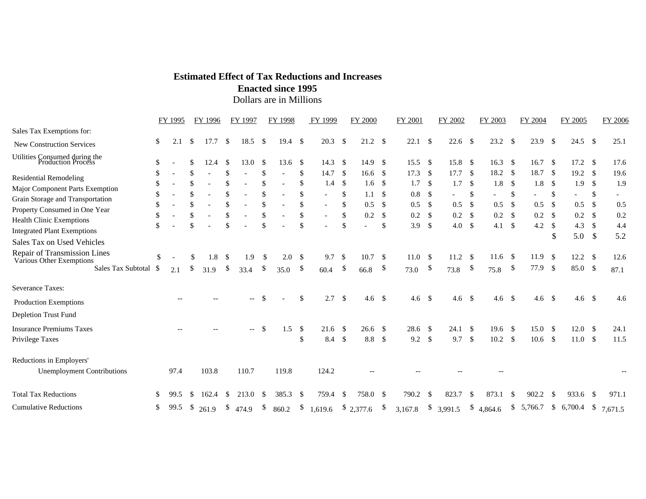## **Estimated Effect of Tax Reductions and Increases**

**Enacted since 1995** 

Dollars are in Millions

|                                                                                                                                                                                                                                                                              |                                             | FY 1995 |     | FY 1996     |                                  | FY 1997     |                                   | FY 1998        |                                  | FY 1999                                                             |                                                          | <b>FY 2000</b>                   |                                             | FY 2001                                     |                                         | FY 2002                                                      |                                           | FY 2003                                                      |                                         | FY 2004                              |                                        | FY 2005                                                                              |                                    | <b>FY 2006</b>                          |
|------------------------------------------------------------------------------------------------------------------------------------------------------------------------------------------------------------------------------------------------------------------------------|---------------------------------------------|---------|-----|-------------|----------------------------------|-------------|-----------------------------------|----------------|----------------------------------|---------------------------------------------------------------------|----------------------------------------------------------|----------------------------------|---------------------------------------------|---------------------------------------------|-----------------------------------------|--------------------------------------------------------------|-------------------------------------------|--------------------------------------------------------------|-----------------------------------------|--------------------------------------|----------------------------------------|--------------------------------------------------------------------------------------|------------------------------------|-----------------------------------------|
| Sales Tax Exemptions for:                                                                                                                                                                                                                                                    |                                             |         |     |             |                                  |             |                                   |                |                                  |                                                                     |                                                          |                                  |                                             |                                             |                                         |                                                              |                                           |                                                              |                                         |                                      |                                        |                                                                                      |                                    |                                         |
| New Construction Services                                                                                                                                                                                                                                                    | \$                                          | 2.1     | -S  | 17.7        | -\$                              | 18.5        | \$                                | $19.4 \quad $$ |                                  | 20.3                                                                | \$                                                       | $21.2 \quad$                     |                                             | 22.1                                        | - \$                                    | 22.6                                                         | - \$                                      | 23.2                                                         | - \$                                    | 23.9                                 | <sup>\$</sup>                          | 24.5 $\sqrt{ }$                                                                      |                                    | 25.1                                    |
| Utilities Consumed during the<br>Production Process                                                                                                                                                                                                                          | \$                                          |         |     | 12.4        | -S                               | 13.0        | -S                                | 13.6           | <sup>\$</sup>                    | 14.3                                                                | -\$                                                      | 14.9                             | \$                                          | 15.5                                        | - \$                                    | 15.8                                                         | - \$                                      | 16.3                                                         | - \$                                    | 16.7                                 | -S                                     | 17.2                                                                                 | -\$                                | 17.6                                    |
| <b>Residential Remodeling</b><br>Major Component Parts Exemption<br>Grain Storage and Transportation<br>Property Consumed in One Year<br><b>Health Clinic Exemptions</b><br><b>Integrated Plant Exemptions</b><br>Sales Tax on Used Vehicles<br>Repair of Transmission Lines | \$<br>\$<br>\$<br><sup>\$</sup><br>\$<br>\$ |         | \$. |             | \$<br>\$<br>\$<br>\$<br>\$<br>\$ |             | \$<br>\$.<br>\$<br>\$<br>\$<br>\$ |                | \$<br>\$<br>\$<br>\$<br>\$<br>\$ | 14.7<br>1.4<br>$\overline{\phantom{a}}$<br>$\overline{\phantom{a}}$ | -\$<br>-\$<br>\$<br>$\mathcal{S}$<br>$\mathcal{S}$<br>\$ | 16.6<br>1.6<br>1.1<br>0.5<br>0.2 | -S<br>-S<br>\$<br>\$<br><sup>\$</sup><br>\$ | 17.3<br>1.7<br>$0.8\,$<br>0.5<br>0.2<br>3.9 | - \$<br>- \$<br>-\$<br>\$<br>- \$<br>\$ | 17.7<br>1.7<br>$\overline{\phantom{a}}$<br>0.5<br>0.2<br>4.0 | - \$<br>- \$<br>\$<br>-\$<br>- \$<br>- \$ | 18.2<br>1.8<br>$\overline{\phantom{0}}$<br>0.5<br>0.2<br>4.1 | - \$<br>-\$<br>\$<br>-\$<br>- \$<br>-\$ | 18.7<br>1.8<br>0.5<br>$0.2\,$<br>4.2 | \$<br>-S<br>\$<br>\$<br>-S<br>\$<br>\$ | 19.2 <sup>°</sup><br>1.9<br>$\overline{\phantom{0}}$<br>0.5<br>$0.2\,$<br>4.3<br>5.0 | - \$<br>\$<br>\$<br>-S<br>\$<br>\$ | 19.6<br>1.9<br>0.5<br>0.2<br>4.4<br>5.2 |
| Various Other Exemptions<br>Sales Tax Subtotal                                                                                                                                                                                                                               | <sup>\$</sup><br>- \$                       | 2.1     | \$  | 1.8<br>31.9 | -S<br>\$                         | 1.9<br>33.4 | -\$<br>\$                         | 2.0<br>35.0    | - \$<br>\$                       | 9.7<br>60.4                                                         | -\$<br>\$                                                | 10.7<br>66.8                     | S.<br>\$                                    | 11.0<br>73.0                                | - \$<br>$\boldsymbol{\mathsf{S}}$       | 11.2<br>73.8                                                 | - \$<br>$\boldsymbol{\mathsf{S}}$         | 11.6<br>75.8                                                 | - \$<br>$\boldsymbol{\mathsf{S}}$       | 11.9<br>77.9                         | - \$<br>$\mathcal{S}$                  | $12.2-5$<br>85.0 \$                                                                  |                                    | 12.6<br>87.1                            |
| <b>Severance Taxes:</b><br><b>Production Exemptions</b><br>Depletion Trust Fund                                                                                                                                                                                              |                                             |         |     |             |                                  | $- -$       | \$.                               |                | \$                               | 2.7                                                                 | \$                                                       | 4.6 <sup>°</sup>                 |                                             | 4.6                                         | $\mathcal{S}$                           | 4.6 <sup>°</sup>                                             |                                           | 4.6 <sup>°</sup>                                             |                                         | 4.6                                  | - \$                                   | 4.6 <sup>°</sup>                                                                     |                                    | 4.6                                     |
| <b>Insurance Premiums Taxes</b><br>Privilege Taxes                                                                                                                                                                                                                           |                                             |         |     |             |                                  | $--$        | \$                                | 1.5            | \$<br>\$                         | 21.6<br>$8.4\quad$                                                  | -\$                                                      | $26.6$ \$<br>8.8                 | \$                                          | 28.6<br>9.2                                 | - \$<br>$\sqrt{3}$                      | 24.1<br>9.7                                                  | - \$<br>- \$                              | 19.6<br>10.2                                                 | - \$<br>- \$                            | 15.0<br>10.6                         | - \$<br>-\$                            | $12.0-5$<br>$11.0 \text{ }$ \$                                                       |                                    | 24.1<br>11.5                            |
| Reductions in Employers'<br><b>Unemployment Contributions</b>                                                                                                                                                                                                                |                                             | 97.4    |     | 103.8       |                                  | 110.7       |                                   | 119.8          |                                  | 124.2                                                               |                                                          |                                  |                                             |                                             |                                         |                                                              |                                           |                                                              |                                         |                                      |                                        |                                                                                      |                                    |                                         |
| <b>Total Tax Reductions</b>                                                                                                                                                                                                                                                  | \$                                          | 99.5    | -S  | 162.4       | S                                | 213.0       | S                                 | 385.3          | - \$                             | 759.4                                                               | \$                                                       | 758.0 \$                         |                                             | 790.2                                       | \$                                      | 823.7                                                        | -S                                        | 873.1                                                        | \$                                      | 902.2                                | <sup>\$</sup>                          | 933.6                                                                                | -S                                 | 971.1                                   |
| <b>Cumulative Reductions</b>                                                                                                                                                                                                                                                 | \$                                          | 99.5    | \$  | 261.9       | \$                               | 474.9       | \$                                | 860.2          | $\mathcal{S}$                    | 1,619.6 $\frac{\$}{2,377.6}$ \ $\frac{\$}{2,377.6}$                 |                                                          |                                  |                                             |                                             |                                         | 3,167.8 $\frac{1}{2}$ 3,991.5 $\frac{1}{2}$ 4,864.6          |                                           |                                                              |                                         | \$5,766.7                            | <sup>\$</sup>                          | 6,700.4                                                                              | $\mathbb{S}$                       | 7,671.5                                 |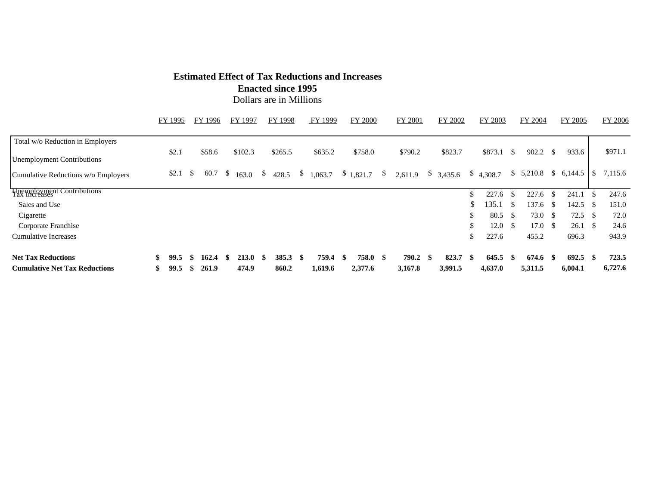## **Estimated Effect of Tax Reductions and Increases**

**Enacted since 1995** 

Dollars are in Millions

|                                      |     | FY 1995 |     | FY 1996 | FY 1997       |      | FY 1998 |    | FY 1999             |     | <b>FY 2000</b>  | <b>FY 2001</b> |     | FY 2002   |      | FY 2003   |      | FY 2004               |      | FY 2005      |          | <b>FY 2006</b> |
|--------------------------------------|-----|---------|-----|---------|---------------|------|---------|----|---------------------|-----|-----------------|----------------|-----|-----------|------|-----------|------|-----------------------|------|--------------|----------|----------------|
| Total w/o Reduction in Employers     |     |         |     |         |               |      |         |    |                     |     |                 |                |     |           |      |           |      |                       |      |              |          |                |
| <b>Unemployment Contributions</b>    |     | \$2.1   |     | \$58.6  | \$102.3       |      | \$265.5 |    | \$635.2             |     | \$758.0         | \$790.2        |     | \$823.7   |      | \$873.1   | -S   | 902.2                 | -S   | 933.6        |          | \$971.1        |
| Cumulative Reductions w/o Employers  |     | \$2.1   | S S |         | 60.7 \$ 163.0 |      |         |    | \$ 428.5 \$ 1,063.7 |     | $$1,821.7$ \ \$ | 2,611.9        |     | \$3,435.6 |      | \$4,308.7 |      | \$5,210.8\$6,144.5\$8 |      |              |          | 7,115.6        |
| <b>Premployment Contributions</b>    |     |         |     |         |               |      |         |    |                     |     |                 |                |     |           |      | 227.6     | -\$  | 227.6                 | -\$  | 241.1        | <u>ж</u> | 247.6          |
| Sales and Use                        |     |         |     |         |               |      |         |    |                     |     |                 |                |     |           | \$   | 135.1     | -S   | 137.6                 | - \$ | 142.5        | - \$     | 151.0          |
| Cigarette                            |     |         |     |         |               |      |         |    |                     |     |                 |                |     |           | \$   | 80.5      | - \$ | 73.0                  | - \$ | 72.5         | - \$     | 72.0           |
| Corporate Franchise                  |     |         |     |         |               |      |         |    |                     |     |                 |                |     |           | \$   | 12.0      | - \$ | 17.0                  | - \$ | $26.1 \quad$ |          | 24.6           |
| <b>Cumulative Increases</b>          |     |         |     |         |               |      |         |    |                     |     |                 |                |     |           | \$   | 227.6     |      | 455.2                 |      | 696.3        |          | 943.9          |
| <b>Net Tax Reductions</b>            | \$. | 99.5    |     | 162.4   | <b>213.0</b>  | - \$ | 385.3   | -8 | 759.4               | -\$ | 758.0 \$        | 790.2          | -\$ | 823.7     | - \$ | 645.5     | -8   | 674.6                 | -\$  | 692.5        | -SS      | 723.5          |
| <b>Cumulative Net Tax Reductions</b> | \$  | 99.5    |     | 261.9   | 474.9         |      | 860.2   |    | 1,619.6             |     | 2,377.6         | 3,167.8        |     | 3,991.5   |      | 4,637.0   |      | 5,311.5               |      | 6,004.1      |          | 6,727.6        |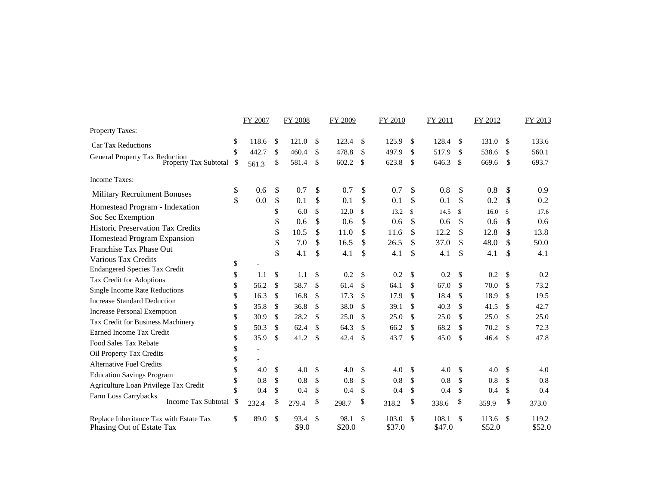|                                                                      |    | FY 2007 |    | <b>FY 2008</b> |               | FY 2009        |               | FY 2010         |              | FY 2011         |               | FY 2012         |               | FY 2013         |
|----------------------------------------------------------------------|----|---------|----|----------------|---------------|----------------|---------------|-----------------|--------------|-----------------|---------------|-----------------|---------------|-----------------|
| Property Taxes:                                                      |    |         |    |                |               |                |               |                 |              |                 |               |                 |               |                 |
| <b>Car Tax Reductions</b>                                            | \$ | 118.6   | \$ | 121.0          | \$            | 123.4          | \$            | 125.9           | -S           | 128.4           | <sup>\$</sup> | 131.0           | <sup>\$</sup> | 133.6           |
|                                                                      | \$ | 442.7   | \$ | 460.4          | $\mathcal{S}$ | 478.8          | \$            | 497.9           | \$           | 517.9           | \$            | 538.6           | S.            | 560.1           |
| General Property Tax Reduction Property Tax Subtotal \$              |    | 561.3   | \$ | 581.4          | \$            | 602.2          | \$            | 623.8           | \$           | 646.3           | \$            | 669.6           | $\mathbb{S}$  | 693.7           |
| <b>Income Taxes:</b>                                                 |    |         |    |                |               |                |               |                 |              |                 |               |                 |               |                 |
| <b>Military Recruitment Bonuses</b>                                  | \$ | 0.6     | \$ | 0.7            | \$            | 0.7            | \$            | 0.7             | \$           | 0.8             | \$            | 0.8             | <sup>\$</sup> | 0.9             |
| Homestead Program - Indexation                                       | \$ | 0.0     | \$ | 0.1            | \$            | 0.1            | \$            | 0.1             | \$           | 0.1             | \$            | 0.2             | $\mathbb{S}$  | 0.2             |
| Soc Sec Exemption                                                    |    |         | \$ | 6.0            | \$            | 12.0           | $\mathbb{S}$  | 13.2            | $\mathbb{S}$ | 14.5            | $\mathbf{\$}$ | 16.0            | \$            | 17.6            |
| <b>Historic Preservation Tax Credits</b>                             |    |         | \$ | 0.6            | \$            | 0.6            | \$            | 0.6             | \$           | 0.6             | \$            | 0.6             | \$            | 0.6             |
| Homestead Program Expansion                                          |    |         | \$ | 10.5           | \$            | 11.0           | \$            | 11.6            | \$           | 12.2            | \$            | 12.8            | \$            | 13.8            |
| Franchise Tax Phase Out                                              |    |         | \$ | 7.0            | \$            | 16.5           | \$            | 26.5            | \$           | 37.0            | \$            | 48.0            | \$            | 50.0            |
| Various Tax Credits                                                  |    |         | \$ | 4.1            | \$            | 4.1            | \$            | 4.1             | \$           | 4.1             | \$            | 4.1             | \$            | 4.1             |
| <b>Endangered Species Tax Credit</b>                                 | \$ |         |    |                |               |                |               |                 |              |                 |               |                 |               |                 |
| Tax Credit for Adoptions                                             | \$ | 1.1     | \$ | 1.1            | <sup>\$</sup> | 0.2            | \$            | 0.2             | \$           | 0.2             | <sup>\$</sup> | 0.2             | \$            | 0.2             |
| Single Income Rate Reductions                                        | \$ | 56.2    | \$ | 58.7           | \$            | 61.4           | \$            | 64.1            | \$           | 67.0            | \$            | 70.0            | \$            | 73.2            |
| <b>Increase Standard Deduction</b>                                   | \$ | 16.3    | \$ | 16.8           | $\mathcal{S}$ | 17.3           | \$            | 17.9            | \$           | 18.4            | \$            | 18.9            | \$            | 19.5            |
| <b>Increase Personal Exemption</b>                                   | \$ | 35.8    | \$ | 36.8           | $\mathcal{S}$ | 38.0           | $\mathcal{S}$ | 39.1            | \$           | 40.3            | \$            | 41.5            | <sup>\$</sup> | 42.7            |
| Tax Credit for Business Machinery                                    | \$ | 30.9    | \$ | 28.2           | \$            | 25.0           | \$            | 25.0            | \$           | 25.0            | \$            | 25.0            | \$            | 25.0            |
| Earned Income Tax Credit                                             | \$ | 50.3    | \$ | 62.4           | \$            | 64.3           | \$            | 66.2            | \$           | 68.2            | \$            | 70.2            | \$            | 72.3            |
| Food Sales Tax Rebate                                                | \$ | 35.9    | \$ | 41.2           | $\mathcal{S}$ | 42.4           | \$            | 43.7            | \$           | 45.0            | \$            | 46.4            | $\mathcal{S}$ | 47.8            |
| Oil Property Tax Credits                                             | \$ |         |    |                |               |                |               |                 |              |                 |               |                 |               |                 |
| <b>Alternative Fuel Credits</b>                                      | \$ |         |    |                |               |                |               |                 |              |                 |               |                 |               |                 |
| <b>Education Savings Program</b>                                     | \$ | 4.0     | \$ | 4.0            | $\mathcal{S}$ | 4.0            | \$            | 4.0             | \$           | 4.0             | -\$           | 4.0             | \$            | 4.0             |
| Agriculture Loan Privilege Tax Credit                                | \$ | 0.8     | \$ | 0.8            | \$            | 0.8            | \$            | 0.8             | \$           | 0.8             | \$            | 0.8             | \$            | 0.8             |
| Farm Loss Carrybacks                                                 | \$ | 0.4     | \$ | 0.4            | $\mathcal{S}$ | 0.4            | \$            | 0.4             | \$           | 0.4             | $\mathbf{\$}$ | 0.4             | \$            | 0.4             |
| <b>Income Tax Subtotal</b>                                           | S. | 232.4   | \$ | 279.4          | \$            | 298.7          | \$            | 318.2           | \$           | 338.6           | \$            | 359.9           | \$            | 373.0           |
| Replace Inheritance Tax with Estate Tax<br>Phasing Out of Estate Tax | \$ | 89.0    | \$ | 93.4<br>\$9.0  | \$            | 98.1<br>\$20.0 | \$            | 103.0<br>\$37.0 | \$           | 108.1<br>\$47.0 | \$            | 113.6<br>\$52.0 | S.            | 119.2<br>\$52.0 |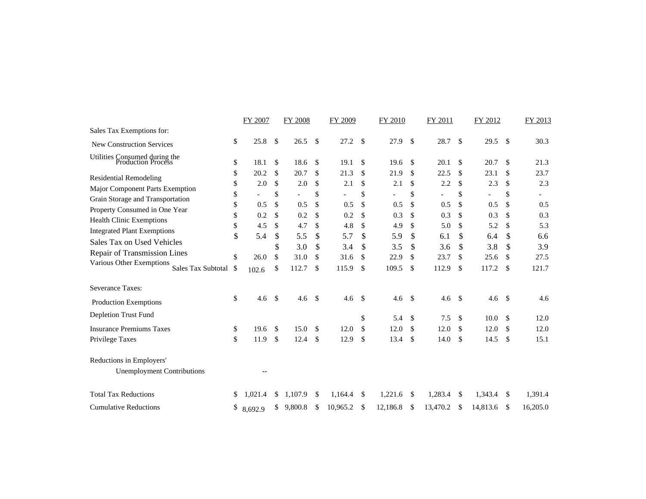|                                                                  |          | FY 2007    |               | <b>FY 2008</b> |               | FY 2009    |               | <b>FY 2010</b> |              | FY 2011                         |          | FY 2012    |               | FY 2013    |
|------------------------------------------------------------------|----------|------------|---------------|----------------|---------------|------------|---------------|----------------|--------------|---------------------------------|----------|------------|---------------|------------|
| Sales Tax Exemptions for:                                        |          |            |               |                |               |            |               |                |              |                                 |          |            |               |            |
| <b>New Construction Services</b>                                 | \$       | 25.8       | \$            | 26.5           | \$            | 27.2       | \$            | 27.9           | \$           | 28.7                            | \$       | 29.5       | \$            | 30.3       |
| Utilities Consumed during the<br>Production Process              | \$       | 18.1       | -\$           | 18.6           | \$            | 19.1       | \$            | 19.6           | \$           | 20.1                            | \$       | 20.7       | \$            | 21.3       |
| <b>Residential Remodeling</b>                                    | \$       | 20.2       | \$            | 20.7           | \$            | 21.3       | \$            | 21.9           | \$           | 22.5                            | \$       | 23.1       | \$            | 23.7       |
| Major Component Parts Exemption                                  | \$<br>\$ | 2.0        | \$<br>\$      | 2.0            | \$<br>\$      | 2.1        | \$<br>\$      | 2.1            | \$<br>\$     | 2.2<br>$\overline{\phantom{0}}$ | \$<br>\$ | 2.3        | \$<br>\$      | 2.3        |
| Grain Storage and Transportation                                 | \$       | 0.5        | \$            | 0.5            | $\mathcal{S}$ | 0.5        | \$            | 0.5            | \$           | 0.5                             | \$       | 0.5        | \$            | 0.5        |
| Property Consumed in One Year<br><b>Health Clinic Exemptions</b> | \$       | 0.2        | \$            | 0.2            | \$            | 0.2        | \$            | 0.3            | \$           | 0.3                             | \$       | 0.3        | \$            | 0.3        |
| <b>Integrated Plant Exemptions</b>                               | \$<br>\$ | 4.5<br>5.4 | \$<br>\$      | 4.7<br>5.5     | \$<br>\$      | 4.8<br>5.7 | \$<br>\$      | 4.9<br>5.9     | \$<br>\$     | 5.0<br>6.1                      | \$<br>\$ | 5.2<br>6.4 | \$<br>\$      | 5.3<br>6.6 |
| Sales Tax on Used Vehicles                                       |          |            | \$            | 3.0            | \$            | 3.4        | \$            | 3.5            | \$           | 3.6                             | \$       | 3.8        | \$            | 3.9        |
| Repair of Transmission Lines<br>Various Other Exemptions         | \$       | 26.0       | \$            | 31.0           | \$            | 31.6       | \$            | 22.9           | \$           | 23.7                            | \$       | 25.6       | \$            | 27.5       |
| <b>Sales Tax Subtotal</b>                                        | \$       | 102.6      | \$            | 112.7          | \$            | 115.9      | \$            | 109.5          | \$           | 112.9                           | \$       | 117.2      | \$            | 121.7      |
| Severance Taxes:                                                 |          |            |               |                |               |            |               |                |              |                                 |          |            |               |            |
| <b>Production Exemptions</b>                                     | \$       | 4.6        | $\mathcal{S}$ | 4.6            | $\mathbf{s}$  | 4.6        | $\mathcal{S}$ | 4.6            | $\mathbf{s}$ | 4.6                             | - \$     | 4.6        | <sup>\$</sup> | 4.6        |
| Depletion Trust Fund                                             |          |            |               |                |               |            | \$            | 5.4            | \$           | 7.5                             | \$       | 10.0       | \$            | 12.0       |
| <b>Insurance Premiums Taxes</b>                                  | \$       | 19.6       | $\mathcal{S}$ | 15.0           | \$            | 12.0       | \$            | 12.0           | \$           | 12.0                            | \$       | 12.0       | \$            | 12.0       |
| Privilege Taxes                                                  | \$       | 11.9       | \$            | 12.4           | \$            | 12.9       | \$            | 13.4           | \$           | 14.0                            | \$       | 14.5       | $\mathcal{S}$ | 15.1       |
| Reductions in Employers'                                         |          |            |               |                |               |            |               |                |              |                                 |          |            |               |            |
| <b>Unemployment Contributions</b>                                |          |            |               |                |               |            |               |                |              |                                 |          |            |               |            |
| <b>Total Tax Reductions</b>                                      | \$       | 1.021.4    | S             | 1,107.9        | <sup>\$</sup> | 1.164.4    | \$            | 1,221.6        | \$           | 1,283.4                         | \$       | 1,343.4    | <sup>\$</sup> | 1,391.4    |
| <b>Cumulative Reductions</b>                                     | \$       | 8.692.9    | \$            | 9,800.8        | \$            | 10,965.2   | \$            | 12,186.8       | \$           | 13,470.2                        | \$       | 14,813.6   | \$            | 16,205.0   |